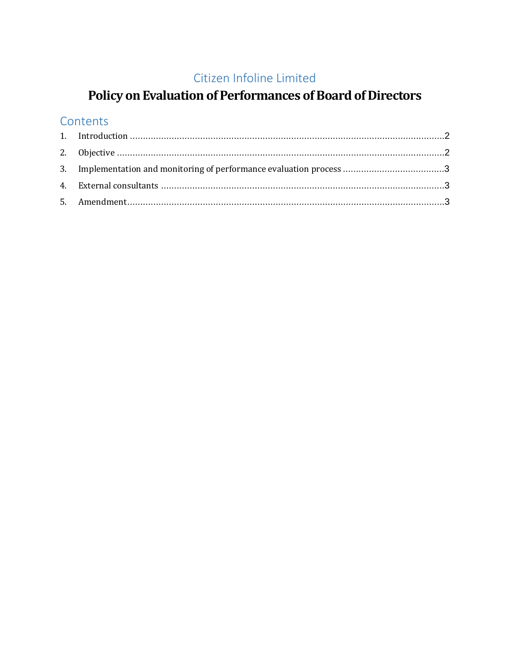### Citizen Infoline Limited

# Policy on Evaluation of Performances of Board of Directors

#### Contents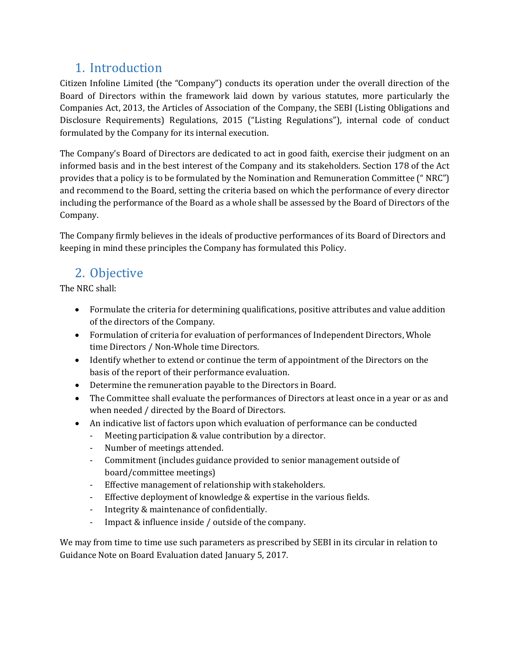## <span id="page-1-0"></span>1. Introduction

Citizen Infoline Limited (the "Company") conducts its operation under the overall direction of the Board of Directors within the framework laid down by various statutes, more particularly the Companies Act, 2013, the Articles of Association of the Company, the SEBI (Listing Obligations and Disclosure Requirements) Regulations, 2015 ("Listing Regulations"), internal code of conduct formulated by the Company for its internal execution.

The Company's Board of Directors are dedicated to act in good faith, exercise their judgment on an informed basis and in the best interest of the Company and its stakeholders. Section 178 of the Act provides that a policy is to be formulated by the Nomination and Remuneration Committee (" NRC") and recommend to the Board, setting the criteria based on which the performance of every director including the performance of the Board as a whole shall be assessed by the Board of Directors of the Company.

The Company firmly believes in the ideals of productive performances of its Board of Directors and keeping in mind these principles the Company has formulated this Policy.

## <span id="page-1-1"></span>2. Objective

The NRC shall:

- Formulate the criteria for determining qualifications, positive attributes and value addition of the directors of the Company.
- Formulation of criteria for evaluation of performances of Independent Directors, Whole time Directors / Non-Whole time Directors.
- Identify whether to extend or continue the term of appointment of the Directors on the basis of the report of their performance evaluation.
- Determine the remuneration payable to the Directors in Board.
- The Committee shall evaluate the performances of Directors at least once in a year or as and when needed / directed by the Board of Directors.
- An indicative list of factors upon which evaluation of performance can be conducted
	- Meeting participation & value contribution by a director.
	- Number of meetings attended.
	- Commitment (includes guidance provided to senior management outside of board/committee meetings)
	- Effective management of relationship with stakeholders.
	- Effective deployment of knowledge & expertise in the various fields.
	- Integrity & maintenance of confidentially.
	- Impact & influence inside / outside of the company.

We may from time to time use such parameters as prescribed by SEBI in its circular in relation to Guidance Note on Board Evaluation dated January 5, 2017.